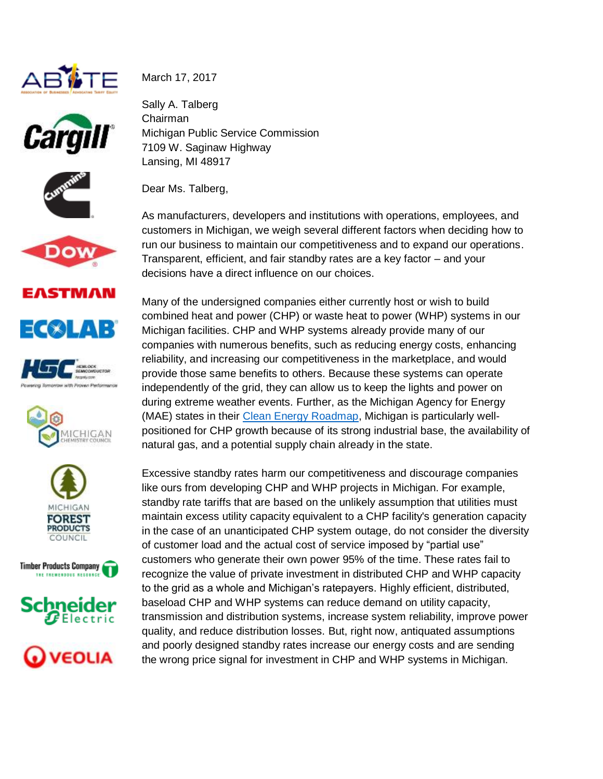























March 17, 2017

Sally A. Talberg Chairman Michigan Public Service Commission 7109 W. Saginaw Highway Lansing, MI 48917

Dear Ms. Talberg,

As manufacturers, developers and institutions with operations, employees, and customers in Michigan, we weigh several different factors when deciding how to run our business to maintain our competitiveness and to expand our operations. Transparent, efficient, and fair standby rates are a key factor – and your decisions have a direct influence on our choices.

Many of the undersigned companies either currently host or wish to build combined heat and power (CHP) or waste heat to power (WHP) systems in our Michigan facilities. CHP and WHP systems already provide many of our companies with numerous benefits, such as reducing energy costs, enhancing reliability, and increasing our competitiveness in the marketplace, and would provide those same benefits to others. Because these systems can operate independently of the grid, they can allow us to keep the lights and power on during extreme weather events. Further, as the Michigan Agency for Energy (MAE) states in their [Clean Energy Roadmap,](http://www.michigan.gov/documents/energy/2016-03-09_CER_Full_526941_7.pdf) Michigan is particularly wellpositioned for CHP growth because of its strong industrial base, the availability of natural gas, and a potential supply chain already in the state.

Excessive standby rates harm our competitiveness and discourage companies like ours from developing CHP and WHP projects in Michigan. For example, standby rate tariffs that are based on the unlikely assumption that utilities must maintain excess utility capacity equivalent to a CHP facility's generation capacity in the case of an unanticipated CHP system outage, do not consider the diversity of customer load and the actual cost of service imposed by "partial use" customers who generate their own power 95% of the time. These rates fail to recognize the value of private investment in distributed CHP and WHP capacity to the grid as a whole and Michigan's ratepayers. Highly efficient, distributed, baseload CHP and WHP systems can reduce demand on utility capacity, transmission and distribution systems, increase system reliability, improve power quality, and reduce distribution losses. But, right now, antiquated assumptions and poorly designed standby rates increase our energy costs and are sending the wrong price signal for investment in CHP and WHP systems in Michigan.